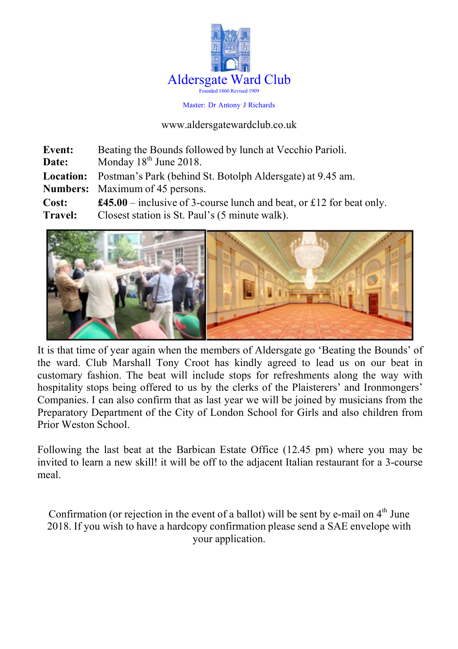

Master: Dr Antony J Richards

www.aldersgatewardclub.co.uk

| Event:         | Beating the Bounds followed by lunch at Vecchio Parioli.                                                              |
|----------------|-----------------------------------------------------------------------------------------------------------------------|
| Date:          | Monday $18th$ June 2018.                                                                                              |
|                | <b>Location:</b> Postman's Park (behind St. Botolph Aldersgate) at 9.45 am.<br><b>Numbers:</b> Maximum of 45 persons. |
| Cost:          | <b>£45.00</b> – inclusive of 3-course lunch and beat, or £12 for beat only.                                           |
| <b>Travel:</b> | Closest station is St. Paul's (5 minute walk).                                                                        |



It is that time of year again when the members of Aldersgate go 'Beating the Bounds' of the ward. Club Marshall Tony Croot has kindly agreed to lead us on our beat in customary fashion. The beat will include stops for refreshments along the way with hospitality stops being offered to us by the clerks of the Plaisterers' and Ironmongers' Companies. I can also confirm that as last year we will be joined by musicians from the Preparatory Department of the City of London School for Girls and also children from Prior Weston School.

Following the last beat at the Barbican Estate Office (12.45 pm) where you may be invited to learn a new skill! it will be off to the adjacent Italian restaurant for a 3-course meal.

Confirmation (or rejection in the event of a ballot) will be sent by e-mail on  $4<sup>th</sup>$  June 2018. If you wish to have a hardcopy confirmation please send a SAE envelope with your application.